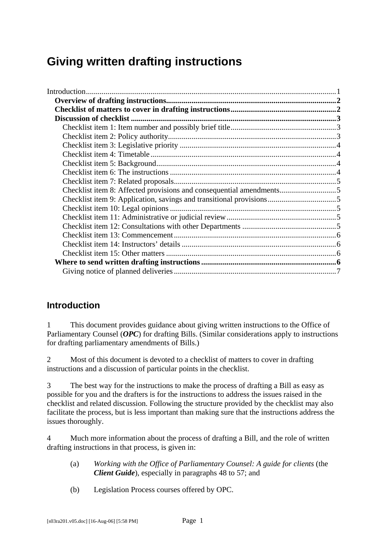# <span id="page-0-0"></span>**Giving written drafting instructions**

| Checklist item 8: Affected provisions and consequential amendments5 |  |
|---------------------------------------------------------------------|--|
|                                                                     |  |
|                                                                     |  |
|                                                                     |  |
|                                                                     |  |
|                                                                     |  |
|                                                                     |  |
|                                                                     |  |
|                                                                     |  |
|                                                                     |  |
|                                                                     |  |

# **Introduction**

1 This document provides guidance about giving written instructions to the Office of Parliamentary Counsel (*OPC*) for drafting Bills. (Similar considerations apply to instructions for drafting parliamentary amendments of Bills.)

2 Most of this document is devoted to a checklist of matters to cover in drafting instructions and a discussion of particular points in the checklist.

3 The best way for the instructions to make the process of drafting a Bill as easy as possible for you and the drafters is for the instructions to address the issues raised in the checklist and related discussion. Following the structure provided by the checklist may also facilitate the process, but is less important than making sure that the instructions address the issues thoroughly.

4 Much more information about the process of drafting a Bill, and the role of written drafting instructions in that process, is given in:

- (a) *Working with the Office of Parliamentary Counsel: A guide for clients* (the *Client Guide*), especially in paragraphs 48 to 57; and
- (b) Legislation Process courses offered by OPC.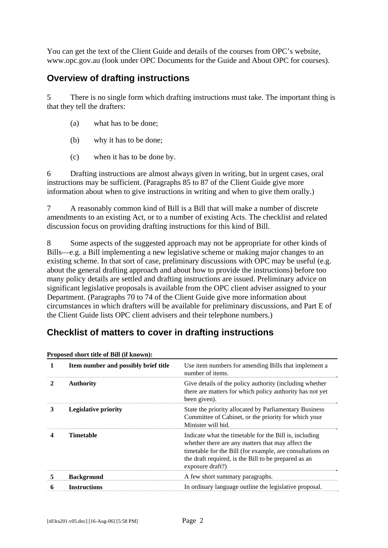<span id="page-1-0"></span>You can get the text of the Client Guide and details of the courses from OPC's website, www.opc.gov.au (look under OPC Documents for the Guide and About OPC for courses).

# **Overview of drafting instructions**

5 There is no single form which drafting instructions must take. The important thing is that they tell the drafters:

- (a) what has to be done;
- (b) why it has to be done;
- (c) when it has to be done by.

6 Drafting instructions are almost always given in writing, but in urgent cases, oral instructions may be sufficient. (Paragraphs 85 to 87 of the Client Guide give more information about when to give instructions in writing and when to give them orally.)

7 A reasonably common kind of Bill is a Bill that will make a number of discrete amendments to an existing Act, or to a number of existing Acts. The checklist and related discussion focus on providing drafting instructions for this kind of Bill.

8 Some aspects of the suggested approach may not be appropriate for other kinds of Bills—e.g. a Bill implementing a new legislative scheme or making major changes to an existing scheme. In that sort of case, preliminary discussions with OPC may be useful (e.g. about the general drafting approach and about how to provide the instructions) before too many policy details are settled and drafting instructions are issued. Preliminary advice on significant legislative proposals is available from the OPC client adviser assigned to your Department. (Paragraphs 70 to 74 of the Client Guide give more information about circumstances in which drafters will be available for preliminary discussions, and Part E of the Client Guide lists OPC client advisers and their telephone numbers.)

# **Checklist of matters to cover in drafting instructions**

| Proposed short title of Bill (if known): |                                      |                                                                                                                                                                                                                                                      |  |
|------------------------------------------|--------------------------------------|------------------------------------------------------------------------------------------------------------------------------------------------------------------------------------------------------------------------------------------------------|--|
|                                          | Item number and possibly brief title | Use item numbers for amending Bills that implement a<br>number of items.                                                                                                                                                                             |  |
| 2                                        | <b>Authority</b>                     | Give details of the policy authority (including whether<br>there are matters for which policy authority has not yet<br>been given).                                                                                                                  |  |
| 3                                        | <b>Legislative priority</b>          | State the priority allocated by Parliamentary Business<br>Committee of Cabinet, or the priority for which your<br>Minister will bid.                                                                                                                 |  |
|                                          | <b>Timetable</b>                     | Indicate what the timetable for the Bill is, including<br>whether there are any matters that may affect the<br>timetable for the Bill (for example, are consultations on<br>the draft required, is the Bill to be prepared as an<br>exposure draft?) |  |
|                                          | <b>Background</b>                    | A few short summary paragraphs.                                                                                                                                                                                                                      |  |
|                                          | <b>Instructions</b>                  | In ordinary language outline the legislative proposal.                                                                                                                                                                                               |  |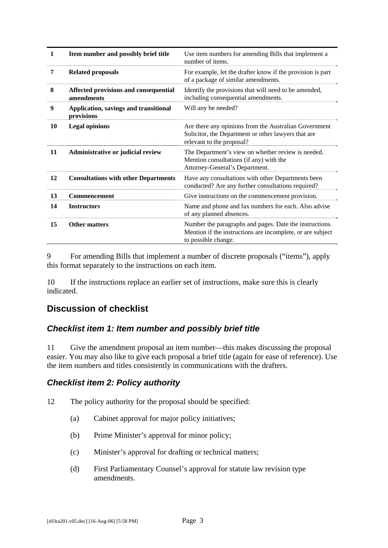<span id="page-2-0"></span>

| 1  | Item number and possibly brief title                | Use item numbers for amending Bills that implement a<br>number of items.                                                                     |
|----|-----------------------------------------------------|----------------------------------------------------------------------------------------------------------------------------------------------|
| 7  | <b>Related proposals</b>                            | For example, let the drafter know if the provision is part<br>of a package of similar amendments.                                            |
| 8  | Affected provisions and consequential<br>amendments | Identify the provisions that will need to be amended,<br>including consequential amendments.                                                 |
| 9  | Application, savings and transitional<br>provisions | Will any be needed?                                                                                                                          |
| 10 | <b>Legal opinions</b>                               | Are there any opinions from the Australian Government<br>Solicitor, the Department or other lawyers that are<br>relevant to the proposal?    |
| 11 | Administrative or judicial review                   | The Department's view on whether review is needed.<br>Mention consultations (if any) with the<br>Attorney-General's Department.              |
| 12 | <b>Consultations with other Departments</b>         | Have any consultations with other Departments been<br>conducted? Are any further consultations required?                                     |
| 13 | <b>Commencement</b>                                 | Give instructions on the commencement provision.                                                                                             |
| 14 | <b>Instructors</b>                                  | Name and phone and fax numbers for each. Also advise<br>of any planned absences.                                                             |
| 15 | <b>Other matters</b>                                | Number the paragraphs and pages. Date the instructions.<br>Mention if the instructions are incomplete, or are subject<br>to possible change. |

9 For amending Bills that implement a number of discrete proposals ("items"), apply this format separately to the instructions on each item.

10 If the instructions replace an earlier set of instructions, make sure this is clearly indicated.

# **Discussion of checklist**

### *Checklist item 1: Item number and possibly brief title*

11 Give the amendment proposal an item number—this makes discussing the proposal easier. You may also like to give each proposal a brief title (again for ease of reference). Use the item numbers and titles consistently in communications with the drafters.

### *Checklist item 2: Policy authority*

- 12 The policy authority for the proposal should be specified:
	- (a) Cabinet approval for major policy initiatives;
	- (b) Prime Minister's approval for minor policy;
	- (c) Minister's approval for drafting or technical matters;
	- (d) First Parliamentary Counsel's approval for statute law revision type amendments.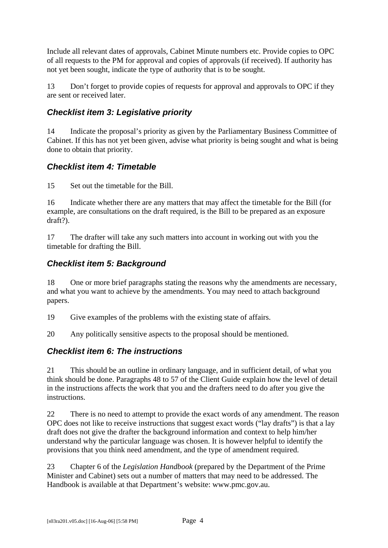<span id="page-3-0"></span>Include all relevant dates of approvals, Cabinet Minute numbers etc. Provide copies to OPC of all requests to the PM for approval and copies of approvals (if received). If authority has not yet been sought, indicate the type of authority that is to be sought.

13 Don't forget to provide copies of requests for approval and approvals to OPC if they are sent or received later.

## *Checklist item 3: Legislative priority*

14 Indicate the proposal's priority as given by the Parliamentary Business Committee of Cabinet. If this has not yet been given, advise what priority is being sought and what is being done to obtain that priority.

## *Checklist item 4: Timetable*

15 Set out the timetable for the Bill.

16 Indicate whether there are any matters that may affect the timetable for the Bill (for example, are consultations on the draft required, is the Bill to be prepared as an exposure draft?).

17 The drafter will take any such matters into account in working out with you the timetable for drafting the Bill.

## *Checklist item 5: Background*

18 One or more brief paragraphs stating the reasons why the amendments are necessary, and what you want to achieve by the amendments. You may need to attach background papers.

19 Give examples of the problems with the existing state of affairs.

20 Any politically sensitive aspects to the proposal should be mentioned.

### *Checklist item 6: The instructions*

21 This should be an outline in ordinary language, and in sufficient detail, of what you think should be done. Paragraphs 48 to 57 of the Client Guide explain how the level of detail in the instructions affects the work that you and the drafters need to do after you give the instructions.

22 There is no need to attempt to provide the exact words of any amendment. The reason OPC does not like to receive instructions that suggest exact words ("lay drafts") is that a lay draft does not give the drafter the background information and context to help him/her understand why the particular language was chosen. It is however helpful to identify the provisions that you think need amendment, and the type of amendment required.

23 Chapter 6 of the *Legislation Handbook* (prepared by the Department of the Prime Minister and Cabinet) sets out a number of matters that may need to be addressed. The Handbook is available at that Department's website: www.pmc.gov.au.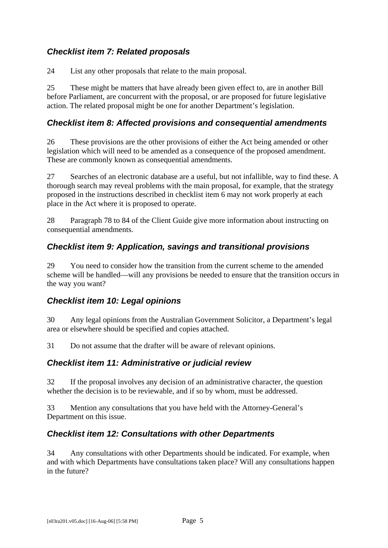# <span id="page-4-0"></span>*Checklist item 7: Related proposals*

24 List any other proposals that relate to the main proposal.

25 These might be matters that have already been given effect to, are in another Bill before Parliament, are concurrent with the proposal, or are proposed for future legislative action. The related proposal might be one for another Department's legislation.

## *Checklist item 8: Affected provisions and consequential amendments*

26 These provisions are the other provisions of either the Act being amended or other legislation which will need to be amended as a consequence of the proposed amendment. These are commonly known as consequential amendments.

27 Searches of an electronic database are a useful, but not infallible, way to find these. A thorough search may reveal problems with the main proposal, for example, that the strategy proposed in the instructions described in checklist item 6 may not work properly at each place in the Act where it is proposed to operate.

28 Paragraph 78 to 84 of the Client Guide give more information about instructing on consequential amendments.

# *Checklist item 9: Application, savings and transitional provisions*

29 You need to consider how the transition from the current scheme to the amended scheme will be handled—will any provisions be needed to ensure that the transition occurs in the way you want?

# *Checklist item 10: Legal opinions*

30 Any legal opinions from the Australian Government Solicitor, a Department's legal area or elsewhere should be specified and copies attached.

31 Do not assume that the drafter will be aware of relevant opinions.

### *Checklist item 11: Administrative or judicial review*

32 If the proposal involves any decision of an administrative character, the question whether the decision is to be reviewable, and if so by whom, must be addressed.

33 Mention any consultations that you have held with the Attorney-General's Department on this issue.

### *Checklist item 12: Consultations with other Departments*

34 Any consultations with other Departments should be indicated. For example, when and with which Departments have consultations taken place? Will any consultations happen in the future?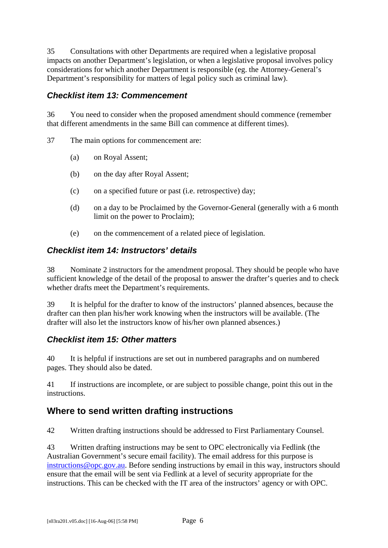<span id="page-5-0"></span>35 Consultations with other Departments are required when a legislative proposal impacts on another Department's legislation, or when a legislative proposal involves policy considerations for which another Department is responsible (eg. the Attorney-General's Department's responsibility for matters of legal policy such as criminal law).

## *Checklist item 13: Commencement*

36 You need to consider when the proposed amendment should commence (remember that different amendments in the same Bill can commence at different times).

37 The main options for commencement are:

- (a) on Royal Assent;
- (b) on the day after Royal Assent;
- (c) on a specified future or past (i.e. retrospective) day;
- (d) on a day to be Proclaimed by the Governor-General (generally with a 6 month limit on the power to Proclaim);
- (e) on the commencement of a related piece of legislation.

#### *Checklist item 14: Instructors' details*

38 Nominate 2 instructors for the amendment proposal. They should be people who have sufficient knowledge of the detail of the proposal to answer the drafter's queries and to check whether drafts meet the Department's requirements.

39 It is helpful for the drafter to know of the instructors' planned absences, because the drafter can then plan his/her work knowing when the instructors will be available. (The drafter will also let the instructors know of his/her own planned absences.)

### *Checklist item 15: Other matters*

40 It is helpful if instructions are set out in numbered paragraphs and on numbered pages. They should also be dated.

41 If instructions are incomplete, or are subject to possible change, point this out in the instructions.

# **Where to send written drafting instructions**

42 Written drafting instructions should be addressed to First Parliamentary Counsel.

43 Written drafting instructions may be sent to OPC electronically via Fedlink (the Australian Government's secure email facility). The email address for this purpose is [instructions@opc.gov.au.](mailto:instructions@opc.gov.au) Before sending instructions by email in this way, instructors should ensure that the email will be sent via Fedlink at a level of security appropriate for the instructions. This can be checked with the IT area of the instructors' agency or with OPC.